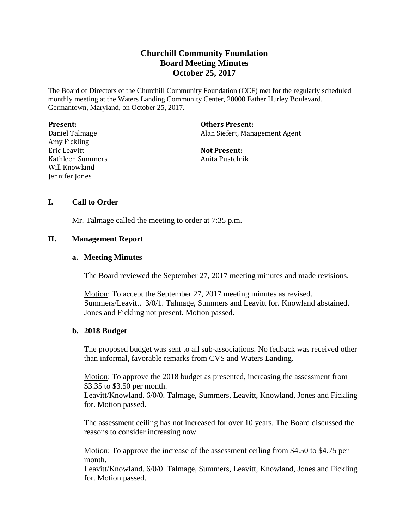# **Churchill Community Foundation Board Meeting Minutes October 25, 2017**

The Board of Directors of the Churchill Community Foundation (CCF) met for the regularly scheduled monthly meeting at the Waters Landing Community Center, 20000 Father Hurley Boulevard, Germantown, Maryland, on October 25, 2017.

| Present:         | <b>Others Present:</b>         |
|------------------|--------------------------------|
| Daniel Talmage   | Alan Siefert, Management Agent |
| Amy Fickling     |                                |
| Eric Leavitt     | <b>Not Present:</b>            |
| Kathleen Summers | Anita Pustelnik                |
| Will Knowland    |                                |
| Jennifer Jones   |                                |
|                  |                                |

### **I. Call to Order**

Mr. Talmage called the meeting to order at 7:35 p.m.

### **II. Management Report**

#### **a. Meeting Minutes**

The Board reviewed the September 27, 2017 meeting minutes and made revisions.

Motion: To accept the September 27, 2017 meeting minutes as revised. Summers/Leavitt. 3/0/1. Talmage, Summers and Leavitt for. Knowland abstained. Jones and Fickling not present. Motion passed.

### **b. 2018 Budget**

The proposed budget was sent to all sub-associations. No fedback was received other than informal, favorable remarks from CVS and Waters Landing.

Motion: To approve the 2018 budget as presented, increasing the assessment from \$3.35 to \$3.50 per month.

Leavitt/Knowland. 6/0/0. Talmage, Summers, Leavitt, Knowland, Jones and Fickling for. Motion passed.

The assessment ceiling has not increased for over 10 years. The Board discussed the reasons to consider increasing now.

Motion: To approve the increase of the assessment ceiling from \$4.50 to \$4.75 per month.

Leavitt/Knowland. 6/0/0. Talmage, Summers, Leavitt, Knowland, Jones and Fickling for. Motion passed.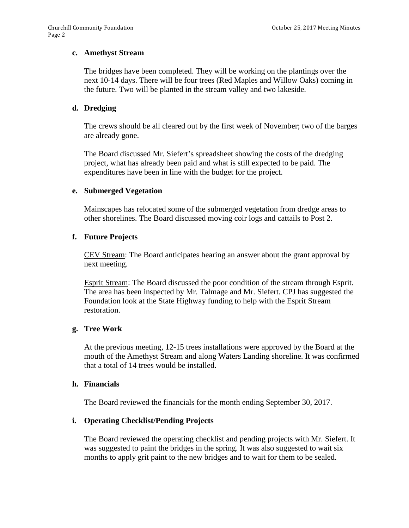#### **c. Amethyst Stream**

The bridges have been completed. They will be working on the plantings over the next 10-14 days. There will be four trees (Red Maples and Willow Oaks) coming in the future. Two will be planted in the stream valley and two lakeside.

# **d. Dredging**

The crews should be all cleared out by the first week of November; two of the barges are already gone.

The Board discussed Mr. Siefert's spreadsheet showing the costs of the dredging project, what has already been paid and what is still expected to be paid. The expenditures have been in line with the budget for the project.

### **e. Submerged Vegetation**

Mainscapes has relocated some of the submerged vegetation from dredge areas to other shorelines. The Board discussed moving coir logs and cattails to Post 2.

### **f. Future Projects**

CEV Stream: The Board anticipates hearing an answer about the grant approval by next meeting.

Esprit Stream: The Board discussed the poor condition of the stream through Esprit. The area has been inspected by Mr. Talmage and Mr. Siefert. CPJ has suggested the Foundation look at the State Highway funding to help with the Esprit Stream restoration.

### **g. Tree Work**

At the previous meeting, 12-15 trees installations were approved by the Board at the mouth of the Amethyst Stream and along Waters Landing shoreline. It was confirmed that a total of 14 trees would be installed.

### **h. Financials**

The Board reviewed the financials for the month ending September 30, 2017.

### **i. Operating Checklist/Pending Projects**

The Board reviewed the operating checklist and pending projects with Mr. Siefert. It was suggested to paint the bridges in the spring. It was also suggested to wait six months to apply grit paint to the new bridges and to wait for them to be sealed.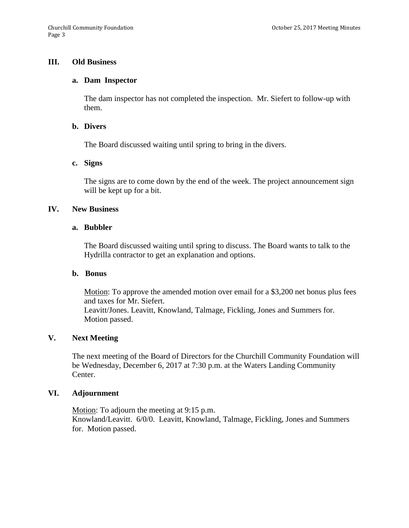### **III. Old Business**

#### **a. Dam Inspector**

The dam inspector has not completed the inspection. Mr. Siefert to follow-up with them.

#### **b. Divers**

The Board discussed waiting until spring to bring in the divers.

#### **c. Signs**

The signs are to come down by the end of the week. The project announcement sign will be kept up for a bit.

#### **IV. New Business**

#### **a. Bubbler**

The Board discussed waiting until spring to discuss. The Board wants to talk to the Hydrilla contractor to get an explanation and options.

#### **b. Bonus**

Motion: To approve the amended motion over email for a \$3,200 net bonus plus fees and taxes for Mr. Siefert. Leavitt/Jones. Leavitt, Knowland, Talmage, Fickling, Jones and Summers for. Motion passed.

# **V. Next Meeting**

The next meeting of the Board of Directors for the Churchill Community Foundation will be Wednesday, December 6, 2017 at 7:30 p.m. at the Waters Landing Community Center.

## **VI. Adjournment**

Motion: To adjourn the meeting at 9:15 p.m. Knowland/Leavitt. 6/0/0. Leavitt, Knowland, Talmage, Fickling, Jones and Summers for. Motion passed.